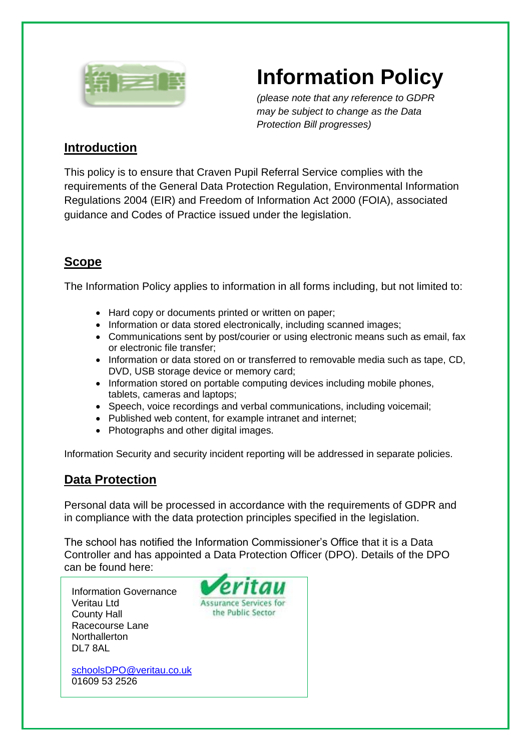

# **Information Policy**

*(please note that any reference to GDPR may be subject to change as the Data Protection Bill progresses)*

## **Introduction**

This policy is to ensure that Craven Pupil Referral Service complies with the requirements of the General Data Protection Regulation, Environmental Information Regulations 2004 (EIR) and Freedom of Information Act 2000 (FOIA), associated guidance and Codes of Practice issued under the legislation.

# **Scope**

The Information Policy applies to information in all forms including, but not limited to:

- Hard copy or documents printed or written on paper;
- Information or data stored electronically, including scanned images;
- Communications sent by post/courier or using electronic means such as email, fax or electronic file transfer;
- Information or data stored on or transferred to removable media such as tape, CD, DVD, USB storage device or memory card;
- Information stored on portable computing devices including mobile phones, tablets, cameras and laptops;
- Speech, voice recordings and verbal communications, including voicemail;
- Published web content, for example intranet and internet;
- Photographs and other digital images.

Information Security and security incident reporting will be addressed in separate policies.

## **Data Protection**

Personal data will be processed in accordance with the requirements of GDPR and in compliance with the data protection principles specified in the legislation.

The school has notified the Information Commissioner's Office that it is a Data Controller and has appointed a Data Protection Officer (DPO). Details of the DPO can be found here:

Information Governance Veritau Ltd County Hall Racecourse Lane Northallerton DL7 8AL

01609 53 2526

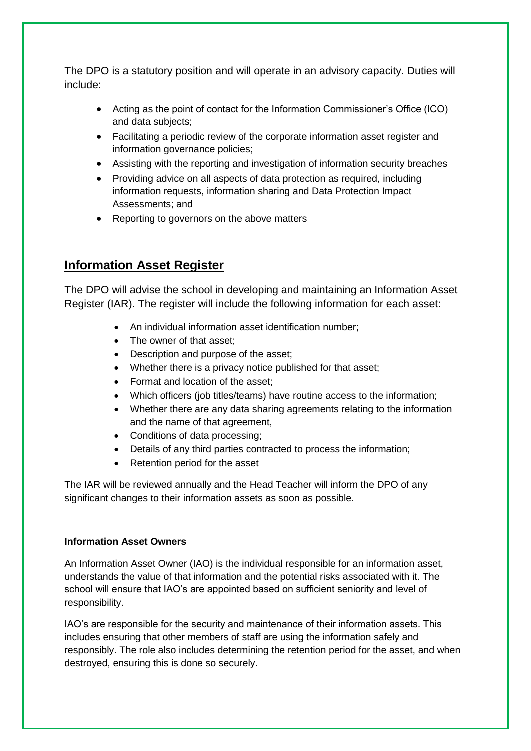The DPO is a statutory position and will operate in an advisory capacity. Duties will include:

- Acting as the point of contact for the Information Commissioner's Office (ICO) and data subjects;
- Facilitating a periodic review of the corporate information asset register and information governance policies;
- Assisting with the reporting and investigation of information security breaches
- Providing advice on all aspects of data protection as required, including information requests, information sharing and Data Protection Impact Assessments; and
- Reporting to governors on the above matters

## **Information Asset Register**

The DPO will advise the school in developing and maintaining an Information Asset Register (IAR). The register will include the following information for each asset:

- An individual information asset identification number;
- The owner of that asset:
- Description and purpose of the asset;
- Whether there is a privacy notice published for that asset;
- Format and location of the asset;
- Which officers (job titles/teams) have routine access to the information;
- Whether there are any data sharing agreements relating to the information and the name of that agreement,
- Conditions of data processing:
- Details of any third parties contracted to process the information;
- Retention period for the asset

The IAR will be reviewed annually and the Head Teacher will inform the DPO of any significant changes to their information assets as soon as possible.

#### **Information Asset Owners**

An Information Asset Owner (IAO) is the individual responsible for an information asset, understands the value of that information and the potential risks associated with it. The school will ensure that IAO's are appointed based on sufficient seniority and level of responsibility.

IAO's are responsible for the security and maintenance of their information assets. This includes ensuring that other members of staff are using the information safely and responsibly. The role also includes determining the retention period for the asset, and when destroyed, ensuring this is done so securely.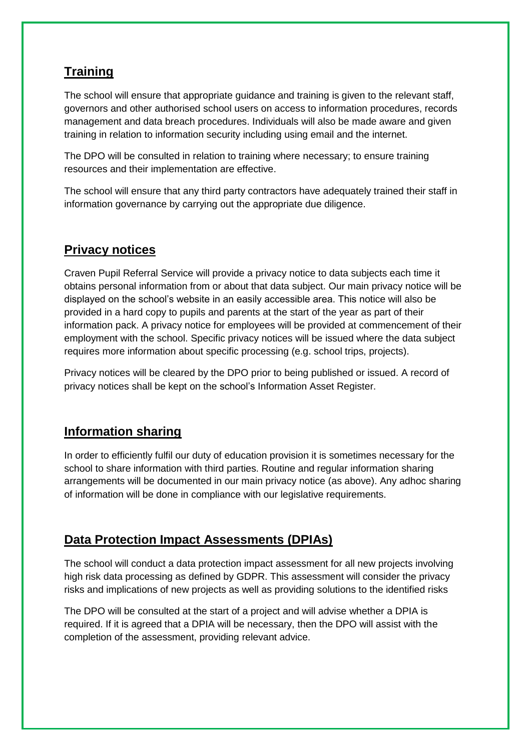# **Training**

The school will ensure that appropriate guidance and training is given to the relevant staff, governors and other authorised school users on access to information procedures, records management and data breach procedures. Individuals will also be made aware and given training in relation to information security including using email and the internet.

The DPO will be consulted in relation to training where necessary; to ensure training resources and their implementation are effective.

The school will ensure that any third party contractors have adequately trained their staff in information governance by carrying out the appropriate due diligence.

## **Privacy notices**

Craven Pupil Referral Service will provide a privacy notice to data subjects each time it obtains personal information from or about that data subject. Our main privacy notice will be displayed on the school's website in an easily accessible area. This notice will also be provided in a hard copy to pupils and parents at the start of the year as part of their information pack. A privacy notice for employees will be provided at commencement of their employment with the school. Specific privacy notices will be issued where the data subject requires more information about specific processing (e.g. school trips, projects).

Privacy notices will be cleared by the DPO prior to being published or issued. A record of privacy notices shall be kept on the school's Information Asset Register.

## **Information sharing**

In order to efficiently fulfil our duty of education provision it is sometimes necessary for the school to share information with third parties. Routine and regular information sharing arrangements will be documented in our main privacy notice (as above). Any adhoc sharing of information will be done in compliance with our legislative requirements.

## **Data Protection Impact Assessments (DPIAs)**

The school will conduct a data protection impact assessment for all new projects involving high risk data processing as defined by GDPR. This assessment will consider the privacy risks and implications of new projects as well as providing solutions to the identified risks

The DPO will be consulted at the start of a project and will advise whether a DPIA is required. If it is agreed that a DPIA will be necessary, then the DPO will assist with the completion of the assessment, providing relevant advice.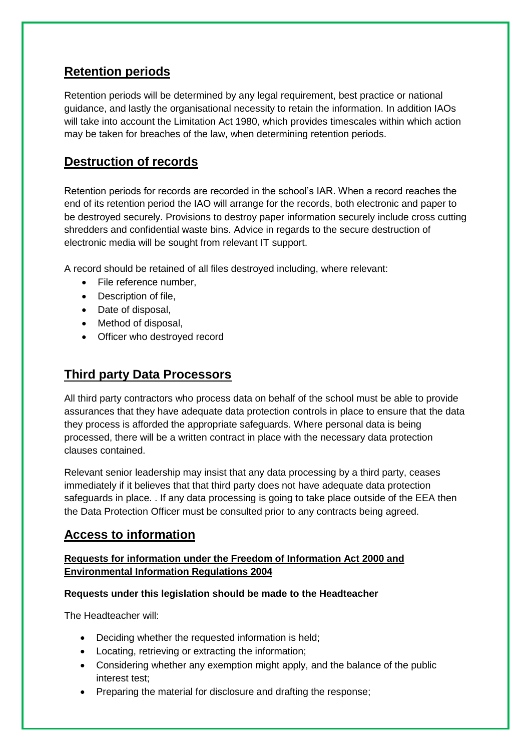## **Retention periods**

Retention periods will be determined by any legal requirement, best practice or national guidance, and lastly the organisational necessity to retain the information. In addition IAOs will take into account the Limitation Act 1980, which provides timescales within which action may be taken for breaches of the law, when determining retention periods.

#### **Destruction of records**

Retention periods for records are recorded in the school's IAR. When a record reaches the end of its retention period the IAO will arrange for the records, both electronic and paper to be destroyed securely. Provisions to destroy paper information securely include cross cutting shredders and confidential waste bins. Advice in regards to the secure destruction of electronic media will be sought from relevant IT support.

A record should be retained of all files destroyed including, where relevant:

- File reference number,
- Description of file,
- Date of disposal.
- Method of disposal,
- Officer who destroyed record

## **Third party Data Processors**

All third party contractors who process data on behalf of the school must be able to provide assurances that they have adequate data protection controls in place to ensure that the data they process is afforded the appropriate safeguards. Where personal data is being processed, there will be a written contract in place with the necessary data protection clauses contained.

Relevant senior leadership may insist that any data processing by a third party, ceases immediately if it believes that that third party does not have adequate data protection safeguards in place. . If any data processing is going to take place outside of the EEA then the Data Protection Officer must be consulted prior to any contracts being agreed.

## **Access to information**

#### **Requests for information under the Freedom of Information Act 2000 and Environmental Information Regulations 2004**

#### **Requests under this legislation should be made to the Headteacher**

The Headteacher will:

- Deciding whether the requested information is held;
- Locating, retrieving or extracting the information;
- Considering whether any exemption might apply, and the balance of the public interest test;
- Preparing the material for disclosure and drafting the response;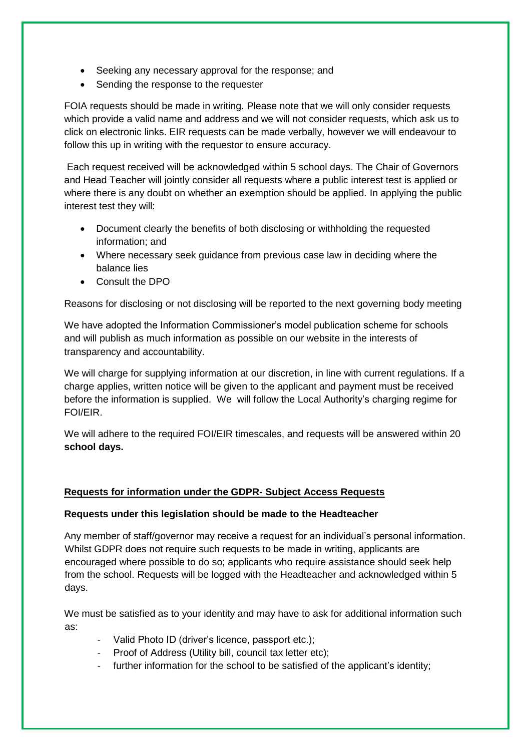- Seeking any necessary approval for the response; and
- Sending the response to the requester

FOIA requests should be made in writing. Please note that we will only consider requests which provide a valid name and address and we will not consider requests, which ask us to click on electronic links. EIR requests can be made verbally, however we will endeavour to follow this up in writing with the requestor to ensure accuracy.

Each request received will be acknowledged within 5 school days. The Chair of Governors and Head Teacher will jointly consider all requests where a public interest test is applied or where there is any doubt on whether an exemption should be applied. In applying the public interest test they will:

- Document clearly the benefits of both disclosing or withholding the requested information; and
- Where necessary seek guidance from previous case law in deciding where the balance lies
- Consult the DPO

Reasons for disclosing or not disclosing will be reported to the next governing body meeting

We have adopted the Information Commissioner's model publication scheme for schools and will publish as much information as possible on our website in the interests of transparency and accountability.

We will charge for supplying information at our discretion, in line with current regulations. If a charge applies, written notice will be given to the applicant and payment must be received before the information is supplied. We will follow the Local Authority's charging regime for FOI/EIR.

We will adhere to the required FOI/EIR timescales, and requests will be answered within 20 **school days.**

#### **Requests for information under the GDPR- Subject Access Requests**

#### **Requests under this legislation should be made to the Headteacher**

Any member of staff/governor may receive a request for an individual's personal information. Whilst GDPR does not require such requests to be made in writing, applicants are encouraged where possible to do so; applicants who require assistance should seek help from the school. Requests will be logged with the Headteacher and acknowledged within 5 days.

We must be satisfied as to your identity and may have to ask for additional information such as:

- Valid Photo ID (driver's licence, passport etc.);
- Proof of Address (Utility bill, council tax letter etc);
- further information for the school to be satisfied of the applicant's identity;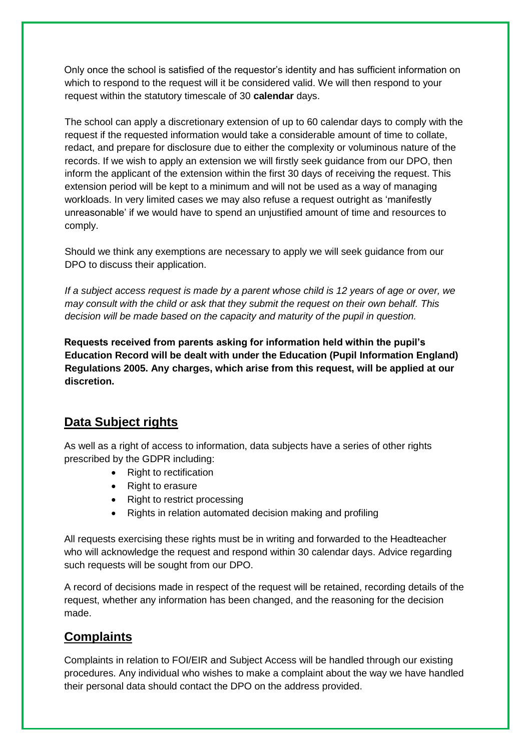Only once the school is satisfied of the requestor's identity and has sufficient information on which to respond to the request will it be considered valid. We will then respond to your request within the statutory timescale of 30 **calendar** days.

The school can apply a discretionary extension of up to 60 calendar days to comply with the request if the requested information would take a considerable amount of time to collate, redact, and prepare for disclosure due to either the complexity or voluminous nature of the records. If we wish to apply an extension we will firstly seek guidance from our DPO, then inform the applicant of the extension within the first 30 days of receiving the request. This extension period will be kept to a minimum and will not be used as a way of managing workloads. In very limited cases we may also refuse a request outright as 'manifestly unreasonable' if we would have to spend an unjustified amount of time and resources to comply.

Should we think any exemptions are necessary to apply we will seek guidance from our DPO to discuss their application.

*If a subject access request is made by a parent whose child is 12 years of age or over, we may consult with the child or ask that they submit the request on their own behalf. This decision will be made based on the capacity and maturity of the pupil in question.* 

**Requests received from parents asking for information held within the pupil's Education Record will be dealt with under the Education (Pupil Information England) Regulations 2005. Any charges, which arise from this request, will be applied at our discretion.** 

## **Data Subject rights**

As well as a right of access to information, data subjects have a series of other rights prescribed by the GDPR including:

- Right to rectification
- Right to erasure
- Right to restrict processing
- Rights in relation automated decision making and profiling

All requests exercising these rights must be in writing and forwarded to the Headteacher who will acknowledge the request and respond within 30 calendar days. Advice regarding such requests will be sought from our DPO.

A record of decisions made in respect of the request will be retained, recording details of the request, whether any information has been changed, and the reasoning for the decision made.

## **Complaints**

Complaints in relation to FOI/EIR and Subject Access will be handled through our existing procedures. Any individual who wishes to make a complaint about the way we have handled their personal data should contact the DPO on the address provided.